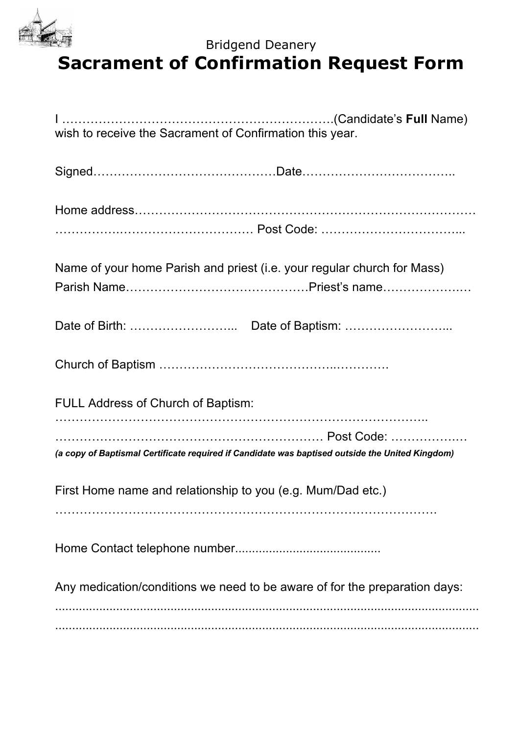

## Bridgend Deanery Bridgend Deanery<br>**Sacrament of Confirmation Request Form**

| wish to receive the Sacrament of Confirmation this year.                                        |
|-------------------------------------------------------------------------------------------------|
|                                                                                                 |
|                                                                                                 |
|                                                                                                 |
| Name of your home Parish and priest (i.e. your regular church for Mass)                         |
|                                                                                                 |
|                                                                                                 |
|                                                                                                 |
|                                                                                                 |
| <b>FULL Address of Church of Baptism:</b>                                                       |
|                                                                                                 |
| (a copy of Baptismal Certificate required if Candidate was baptised outside the United Kingdom) |
| First Home name and relationship to you (e.g. Mum/Dad etc.)                                     |
|                                                                                                 |
|                                                                                                 |
| Any medication/conditions we need to be aware of for the preparation days:                      |
|                                                                                                 |